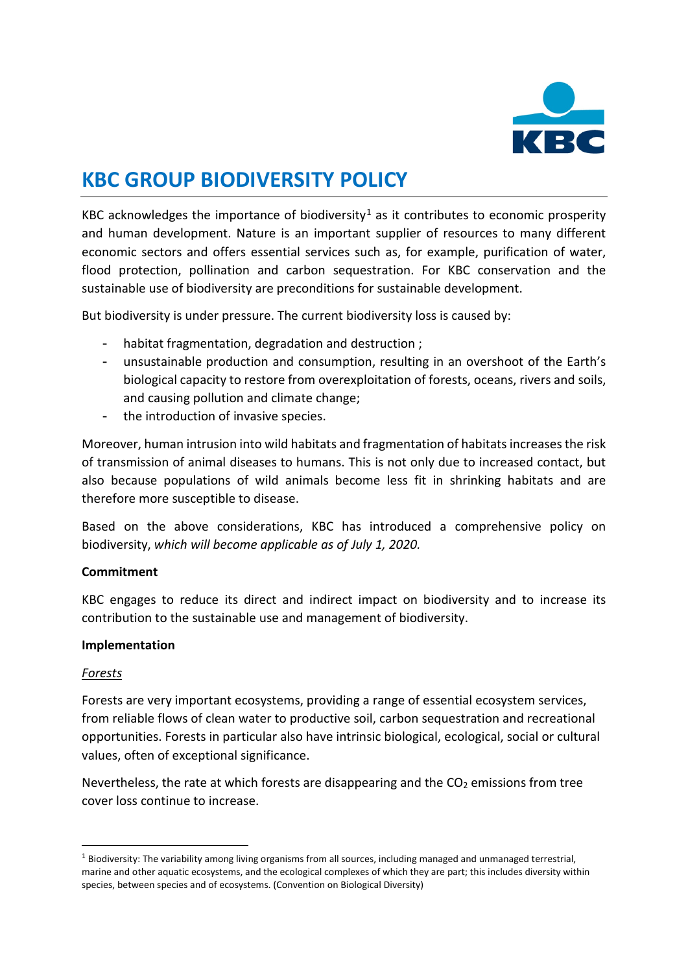

# **KBC GROUP BIODIVERSITY POLICY**

KBC acknowledges the importance of biodiversity<sup>[1](#page-0-0)</sup> as it contributes to economic prosperity and human development. Nature is an important supplier of resources to many different economic sectors and offers essential services such as, for example, purification of water, flood protection, pollination and carbon sequestration. For KBC conservation and the sustainable use of biodiversity are preconditions for sustainable development.

But biodiversity is under pressure. The current biodiversity loss is caused by:

- habitat fragmentation, degradation and destruction ;
- unsustainable production and consumption, resulting in an overshoot of the Earth's biological capacity to restore from overexploitation of forests, oceans, rivers and soils, and causing pollution and climate change;
- the introduction of invasive species.

Moreover, human intrusion into wild habitats and fragmentation of habitats increases the risk of transmission of animal diseases to humans. This is not only due to increased contact, but also because populations of wild animals become less fit in shrinking habitats and are therefore more susceptible to disease.

Based on the above considerations, KBC has introduced a comprehensive policy on biodiversity, *which will become applicable as of July 1, 2020.* 

#### **Commitment**

KBC engages to reduce its direct and indirect impact on biodiversity and to increase its contribution to the sustainable use and management of biodiversity.

## **Implementation**

#### *Forests*

Forests are very important ecosystems, providing a range of essential ecosystem services, from reliable flows of clean water to productive soil, carbon sequestration and recreational opportunities. Forests in particular also have intrinsic biological, ecological, social or cultural values, often of exceptional significance.

Nevertheless, the rate at which forests are disappearing and the  $CO<sub>2</sub>$  emissions from tree cover loss continue to increase.

<span id="page-0-0"></span> $1$  Biodiversity: The variability among living organisms from all sources, including managed and unmanaged terrestrial, marine and other aquatic ecosystems, and the ecological complexes of which they are part; this includes diversity within species, between species and of ecosystems. (Convention on Biological Diversity)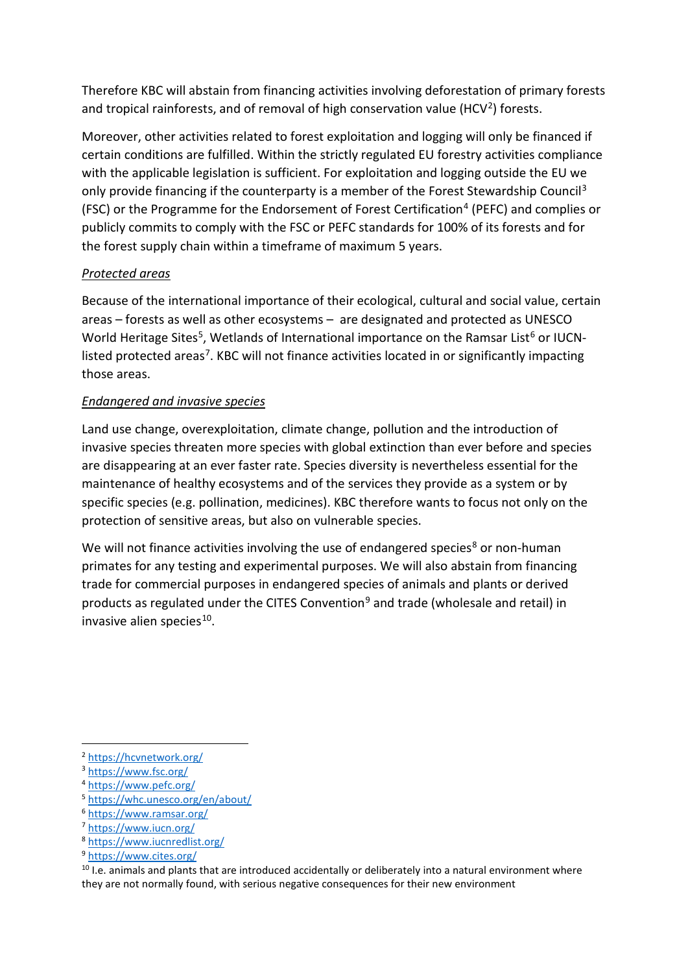Therefore KBC will abstain from financing activities involving deforestation of primary forests and tropical rainforests, and of removal of high conservation value (HCV<sup>[2](#page-1-0)</sup>) forests.

Moreover, other activities related to forest exploitation and logging will only be financed if certain conditions are fulfilled. Within the strictly regulated EU forestry activities compliance with the applicable legislation is sufficient. For exploitation and logging outside the EU we only provide financing if the counterparty is a member of the Forest Stewardship Council<sup>[3](#page-1-1)</sup> (FSC) or the Programme for the Endorsement of Forest Certification<sup>[4](#page-1-2)</sup> (PEFC) and complies or publicly commits to comply with the FSC or PEFC standards for 100% of its forests and for the forest supply chain within a timeframe of maximum 5 years.

# *Protected areas*

Because of the international importance of their ecological, cultural and social value, certain areas – forests as well as other ecosystems – are designated and protected as UNESCO World Heritage Sites<sup>5</sup>, Wetlands of International importance on the Ramsar List<sup>[6](#page-1-4)</sup> or IUCNlisted protected areas<sup>7</sup>. KBC will not finance activities located in or significantly impacting those areas.

# *Endangered and invasive species*

Land use change, overexploitation, climate change, pollution and the introduction of invasive species threaten more species with global extinction than ever before and species are disappearing at an ever faster rate. Species diversity is nevertheless essential for the maintenance of healthy ecosystems and of the services they provide as a system or by specific species (e.g. pollination, medicines). KBC therefore wants to focus not only on the protection of sensitive areas, but also on vulnerable species.

We will not finance activities involving the use of endangered species<sup>[8](#page-1-6)</sup> or non-human primates for any testing and experimental purposes. We will also abstain from financing trade for commercial purposes in endangered species of animals and plants or derived products as regulated under the CITES Convention<sup>[9](#page-1-7)</sup> and trade (wholesale and retail) in invasive alien species $10$ .

<span id="page-1-6"></span><sup>8</sup> <https://www.iucnredlist.org/>

<span id="page-1-0"></span><sup>2</sup> <https://hcvnetwork.org/>

<span id="page-1-1"></span><sup>3</sup> <https://www.fsc.org/>

<span id="page-1-2"></span><sup>4</sup> <https://www.pefc.org/>

<span id="page-1-3"></span><sup>5</sup> <https://whc.unesco.org/en/about/>

<span id="page-1-4"></span><sup>6</sup> <https://www.ramsar.org/>

<span id="page-1-5"></span><sup>7</sup> <https://www.iucn.org/>

<sup>9</sup> <https://www.cites.org/>

<span id="page-1-8"></span><span id="page-1-7"></span><sup>&</sup>lt;sup>10</sup> I.e. animals and plants that are introduced accidentally or deliberately into a natural environment where they are not normally found, with serious negative consequences for their new environment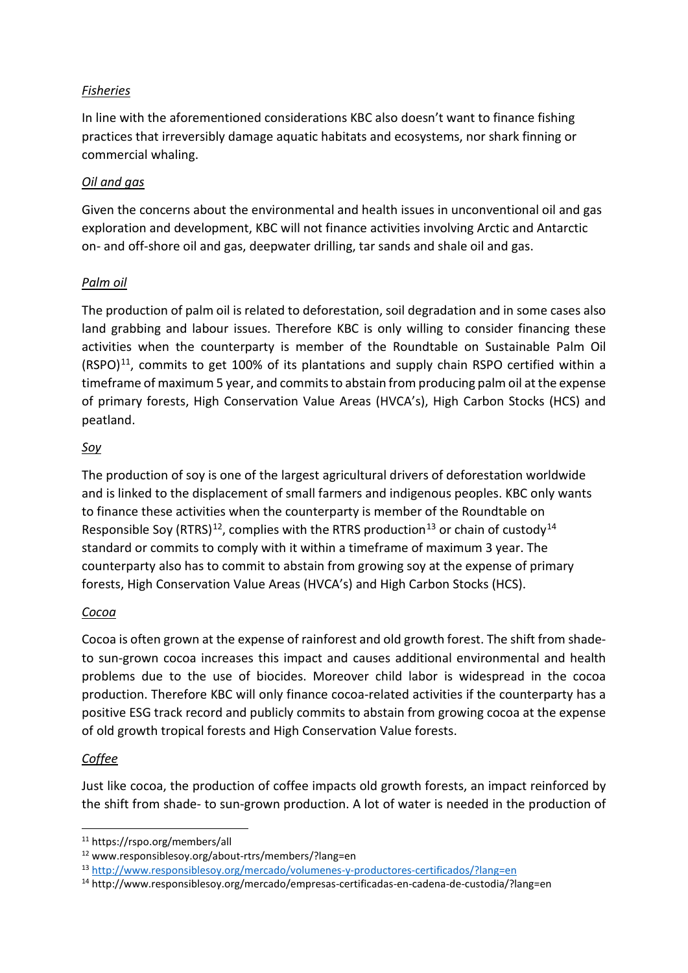## *Fisheries*

In line with the aforementioned considerations KBC also doesn't want to finance fishing practices that irreversibly damage aquatic habitats and ecosystems, nor shark finning or commercial whaling.

#### *Oil and gas*

Given the concerns about the environmental and health issues in unconventional oil and gas exploration and development, KBC will not finance activities involving Arctic and Antarctic on- and off-shore oil and gas, deepwater drilling, tar sands and shale oil and gas.

## *Palm oil*

The production of palm oil is related to deforestation, soil degradation and in some cases also land grabbing and labour issues. Therefore KBC is only willing to consider financing these activities when the counterparty is member of the Roundtable on Sustainable Palm Oil  $(RSPO)<sup>11</sup>$ , commits to get 100% of its plantations and supply chain RSPO certified within a timeframe of maximum 5 year, and commits to abstain from producing palm oil at the expense of primary forests, High Conservation Value Areas (HVCA's), High Carbon Stocks (HCS) and peatland.

## *Soy*

The production of soy is one of the largest agricultural drivers of deforestation worldwide and is linked to the displacement of small farmers and indigenous peoples. KBC only wants to finance these activities when the counterparty is member of the Roundtable on Responsible Soy (RTRS)<sup>[12](#page-2-1)</sup>, complies with the RTRS production<sup>[13](#page-2-2)</sup> or chain of custody<sup>[14](#page-2-3)</sup> standard or commits to comply with it within a timeframe of maximum 3 year. The counterparty also has to commit to abstain from growing soy at the expense of primary forests, High Conservation Value Areas (HVCA's) and High Carbon Stocks (HCS).

## *Cocoa*

Cocoa is often grown at the expense of rainforest and old growth forest. The shift from shadeto sun-grown cocoa increases this impact and causes additional environmental and health problems due to the use of biocides. Moreover child labor is widespread in the cocoa production. Therefore KBC will only finance cocoa-related activities if the counterparty has a positive ESG track record and publicly commits to abstain from growing cocoa at the expense of old growth tropical forests and High Conservation Value forests.

#### *Coffee*

Just like cocoa, the production of coffee impacts old growth forests, an impact reinforced by the shift from shade- to sun-grown production. A lot of water is needed in the production of

<span id="page-2-0"></span><sup>11</sup> https://rspo.org/members/all

<span id="page-2-1"></span><sup>12</sup> www.responsiblesoy.org/about-rtrs/members/?lang=en

<span id="page-2-2"></span><sup>13</sup> <http://www.responsiblesoy.org/mercado/volumenes-y-productores-certificados/?lang=en>

<span id="page-2-3"></span><sup>14</sup> http://www.responsiblesoy.org/mercado/empresas-certificadas-en-cadena-de-custodia/?lang=en